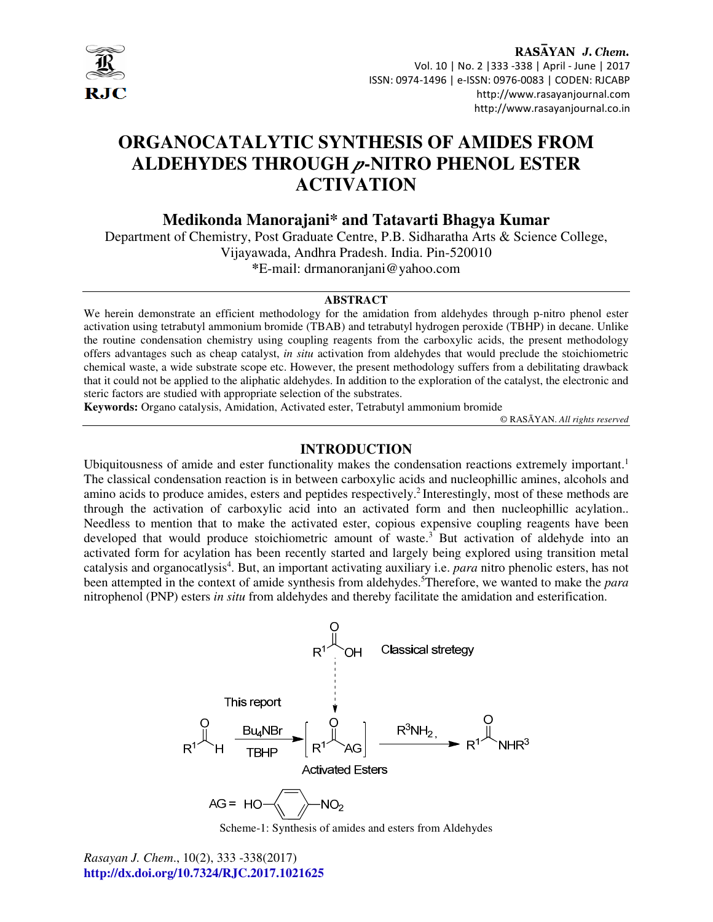

RASAYAN J. Chem. Vol. 10 | No. 2 |333 -338 | April - June | 2017 ISSN: 0974-1496 | e-ISSN: 0976-0083 | CODEN: RJCABP http://www.rasayanjournal.com http://www.rasayanjournal.co.in

# **ORGANOCATALYTIC SYNTHESIS OF AMIDES FROM ALDEHYDES THROUGH** *p***-NITRO PHENOL ESTER ACTIVATION**

**Medikonda Manorajani\* and Tatavarti Bhagya Kumar** 

Department of Chemistry, Post Graduate Centre, P.B. Sidharatha Arts & Science College, Vijayawada, Andhra Pradesh. India. Pin-520010 **\***E-mail: drmanoranjani@yahoo.com

#### **ABSTRACT**

We herein demonstrate an efficient methodology for the amidation from aldehydes through p-nitro phenol ester activation using tetrabutyl ammonium bromide (TBAB) and tetrabutyl hydrogen peroxide (TBHP) in decane. Unlike the routine condensation chemistry using coupling reagents from the carboxylic acids, the present methodology offers advantages such as cheap catalyst, *in situ* activation from aldehydes that would preclude the stoichiometric chemical waste, a wide substrate scope etc. However, the present methodology suffers from a debilitating drawback that it could not be applied to the aliphatic aldehydes. In addition to the exploration of the catalyst, the electronic and steric factors are studied with appropriate selection of the substrates.

**Keywords:** Organo catalysis, Amidation, Activated ester, Tetrabutyl ammonium bromide

© RASĀYAN. *All rights reserved*

## **INTRODUCTION**

Ubiquitousness of amide and ester functionality makes the condensation reactions extremely important.<sup>1</sup> The classical condensation reaction is in between carboxylic acids and nucleophillic amines, alcohols and amino acids to produce amides, esters and peptides respectively.<sup>2</sup> Interestingly, most of these methods are through the activation of carboxylic acid into an activated form and then nucleophillic acylation.. Needless to mention that to make the activated ester, copious expensive coupling reagents have been developed that would produce stoichiometric amount of waste.<sup>3</sup> But activation of aldehyde into an activated form for acylation has been recently started and largely being explored using transition metal catalysis and organocatlysis<sup>4</sup>. But, an important activating auxiliary i.e. *para* nitro phenolic esters, has not been attempted in the context of amide synthesis from aldehydes.<sup>5</sup>Therefore, we wanted to make the *para* nitrophenol (PNP) esters *in situ* from aldehydes and thereby facilitate the amidation and esterification.



Scheme-1: Synthesis of amides and esters from Aldehydes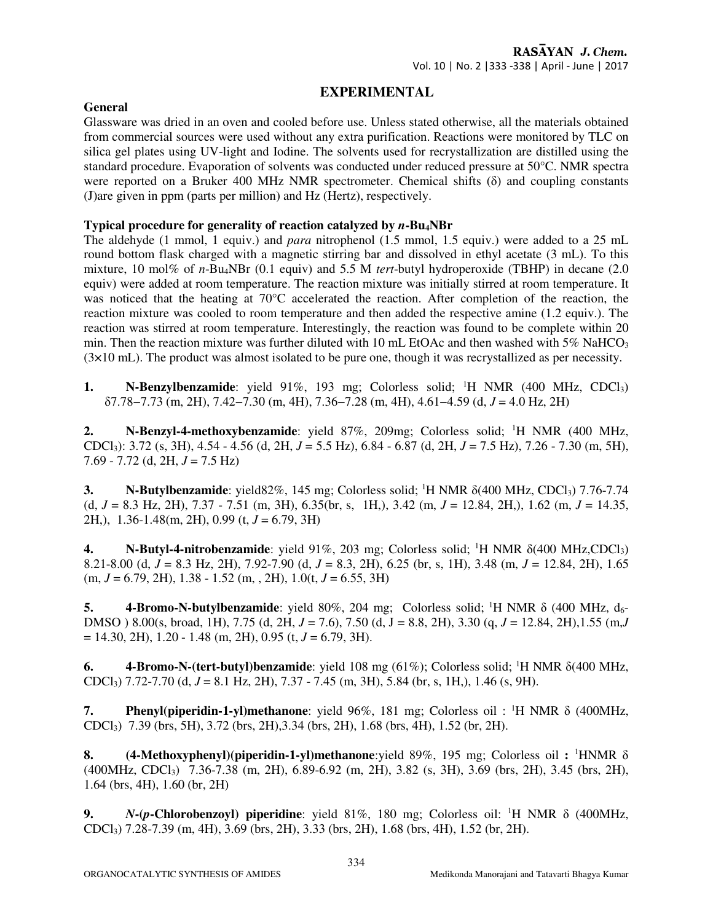## **EXPERIMENTAL**

## **General**

Glassware was dried in an oven and cooled before use. Unless stated otherwise, all the materials obtained from commercial sources were used without any extra purification. Reactions were monitored by TLC on silica gel plates using UV-light and Iodine. The solvents used for recrystallization are distilled using the standard procedure. Evaporation of solvents was conducted under reduced pressure at 50°C. NMR spectra were reported on a Bruker 400 MHz NMR spectrometer. Chemical shifts (δ) and coupling constants (J)are given in ppm (parts per million) and Hz (Hertz), respectively.

## **Typical procedure for generality of reaction catalyzed by** *n***-Bu4NBr**

The aldehyde (1 mmol, 1 equiv.) and *para* nitrophenol (1.5 mmol, 1.5 equiv.) were added to a 25 mL round bottom flask charged with a magnetic stirring bar and dissolved in ethyl acetate (3 mL). To this mixture, 10 mol% of *n*-Bu4NBr (0.1 equiv) and 5.5 M *tert*-butyl hydroperoxide (TBHP) in decane (2.0 equiv) were added at room temperature. The reaction mixture was initially stirred at room temperature. It was noticed that the heating at 70°C accelerated the reaction. After completion of the reaction, the reaction mixture was cooled to room temperature and then added the respective amine (1.2 equiv.). The reaction was stirred at room temperature. Interestingly, the reaction was found to be complete within 20 min. Then the reaction mixture was further diluted with 10 mL EtOAc and then washed with  $5\%$  NaHCO<sub>3</sub>  $(3\times10 \text{ mL})$ . The product was almost isolated to be pure one, though it was recrystallized as per necessity.

**1.** N-Benzylbenzamide: yield 91%, 193 mg; Colorless solid; <sup>1</sup>H NMR (400 MHz, CDCl<sub>3</sub>) δ7.78−7.73 (m, 2H), 7.42−7.30 (m, 4H), 7.36−7.28 (m, 4H), 4.61−4.59 (d, *J* = 4.0 Hz, 2H)

**2. N-Benzyl-4-methoxybenzamide**: yield 87%, 209mg; Colorless solid; <sup>1</sup>H NMR (400 MHz, CDCl3): 3.72 (s, 3H), 4.54 - 4.56 (d, 2H, *J* = 5.5 Hz), 6.84 - 6.87 (d, 2H, *J* = 7.5 Hz), 7.26 - 7.30 (m, 5H), 7.69 - 7.72 (d, 2H, *J* = 7.5 Hz)

**3.** N-Butylbenzamide: yield82%, 145 mg; Colorless solid; <sup>1</sup>H NMR  $\delta$ (400 MHz, CDCl<sub>3</sub>) 7.76-7.74 (d, *J* = 8.3 Hz, 2H), 7.37 - 7.51 (m, 3H), 6.35(br, s, 1H,), 3.42 (m, *J* = 12.84, 2H,), 1.62 (m, *J* = 14.35, 2H,), 1.36-1.48(m, 2H), 0.99 (t, *J* = 6.79, 3H)

**4.** N-Butyl-4-nitrobenzamide: yield 91%, 203 mg; Colorless solid; <sup>1</sup>H NMR δ(400 MHz,CDCl<sub>3</sub>) 8.21-8.00 (d, *J* = 8.3 Hz, 2H), 7.92-7.90 (d, *J* = 8.3, 2H), 6.25 (br, s, 1H), 3.48 (m, *J* = 12.84, 2H), 1.65  $(m, J = 6.79, 2H), 1.38 - 1.52$   $(m, 2H), 1.0$  $(t, J = 6.55, 3H)$ 

**5. 4-Bromo-N-butylbenzamide**: yield 80%, 204 mg; Colorless solid; <sup>1</sup>H NMR δ (400 MHz, d<sub>6</sub>-DMSO ) 8.00(s, broad, 1H), 7.75 (d, 2H, *J* = 7.6), 7.50 (d, J = 8.8, 2H), 3.30 (q, *J* = 12.84, 2H),1.55 (m,*J*  $= 14.30, 2H$ , 1.20 - 1.48 (m, 2H), 0.95 (t,  $J = 6.79, 3H$ ).

**6. 4-Bromo-N-(tert-butyl)benzamide**: yield 108 mg (61%); Colorless solid; <sup>1</sup>H NMR δ(400 MHz, CDCl3) 7.72-7.70 (d, *J* = 8.1 Hz, 2H), 7.37 - 7.45 (m, 3H), 5.84 (br, s, 1H,), 1.46 (s, 9H).

**7. Phenyl(piperidin-1-yl)methanone**: yield 96%, 181 mg; Colorless oil : <sup>1</sup>H NMR δ (400MHz, CDCl3) 7.39 (brs, 5H), 3.72 (brs, 2H),3.34 (brs, 2H), 1.68 (brs, 4H), 1.52 (br, 2H).

**8. (4-Methoxyphenyl)(piperidin-1-yl)methanone**:yield 89%, 195 mg; Colorless oil **:** <sup>1</sup>HNMR δ (400MHz, CDCl3) 7.36-7.38 (m, 2H), 6.89-6.92 (m, 2H), 3.82 (s, 3H), 3.69 (brs, 2H), 3.45 (brs, 2H), 1.64 (brs, 4H), 1.60 (br, 2H)

**9.** *N***-(***p***-Chlorobenzoyl) piperidine**: yield 81%, 180 mg; Colorless oil: <sup>1</sup>H NMR δ (400MHz, CDCl3) 7.28-7.39 (m, 4H), 3.69 (brs, 2H), 3.33 (brs, 2H), 1.68 (brs, 4H), 1.52 (br, 2H).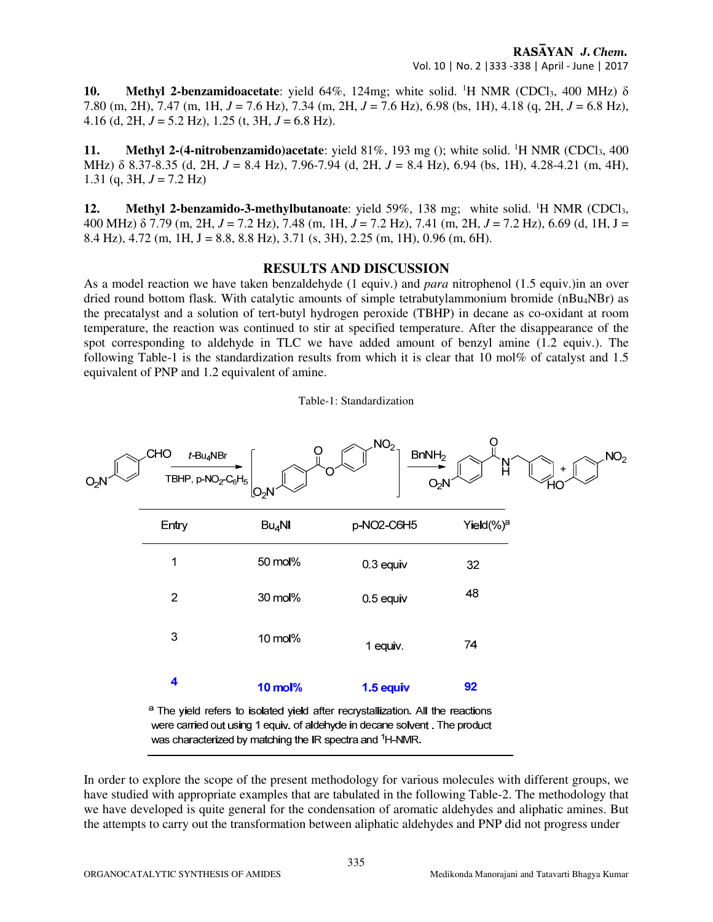**10.** Methyl 2-benzamidoacetate: yield  $64\%$ , 124mg; white solid. <sup>1</sup>H NMR (CDCl<sub>3</sub>, 400 MHz)  $\delta$ 7.80 (m, 2H), 7.47 (m, 1H, *J* = 7.6 Hz), 7.34 (m, 2H, *J* = 7.6 Hz), 6.98 (bs, 1H), 4.18 (q, 2H, *J* = 6.8 Hz), 4.16 (d, 2H,  $J = 5.2$  Hz), 1.25 (t, 3H,  $J = 6.8$  Hz).

**11.** Methyl 2-(4-nitrobenzamido)acetate: yield  $81\%$ ,  $193 \text{ mg}$  (); white solid. <sup>1</sup>H NMR (CDCl<sub>3</sub>, 400) MHz) δ 8.37-8.35 (d, 2H, *J* = 8.4 Hz), 7.96-7.94 (d, 2H, *J* = 8.4 Hz), 6.94 (bs, 1H), 4.28-4.21 (m, 4H), 1.31 (q, 3H,  $J = 7.2$  Hz)

**12.** Methyl 2-benzamido-3-methylbutanoate: yield 59%, 138 mg; white solid. <sup>1</sup>H NMR (CDCl<sub>3</sub>, 400 MHz) δ 7.79 (m, 2H, *J* = 7.2 Hz), 7.48 (m, 1H, *J* = 7.2 Hz), 7.41 (m, 2H, *J* = 7.2 Hz), 6.69 (d, 1H, J = 8.4 Hz), 4.72 (m, 1H, J = 8.8, 8.8 Hz), 3.71 (s, 3H), 2.25 (m, 1H), 0.96 (m, 6H).

## **RESULTS AND DISCUSSION**

As a model reaction we have taken benzaldehyde (1 equiv.) and *para* nitrophenol (1.5 equiv.)in an over dried round bottom flask. With catalytic amounts of simple tetrabutylammonium bromide (nBu<sub>4</sub>NBr) as the precatalyst and a solution of tert-butyl hydrogen peroxide (TBHP) in decane as co-oxidant at room temperature, the reaction was continued to stir at specified temperature. After the disappearance of the spot corresponding to aldehyde in TLC we have added amount of benzyl amine (1.2 equiv.). The following Table-1 is the standardization results from which it is clear that 10 mol% of catalyst and 1.5 equivalent of PNP and 1.2 equivalent of amine.



In order to explore the scope of the present methodology for various molecules with different groups, we have studied with appropriate examples that are tabulated in the following Table-2. The methodology that we have developed is quite general for the condensation of aromatic aldehydes and aliphatic amines. But the attempts to carry out the transformation between aliphatic aldehydes and PNP did not progress under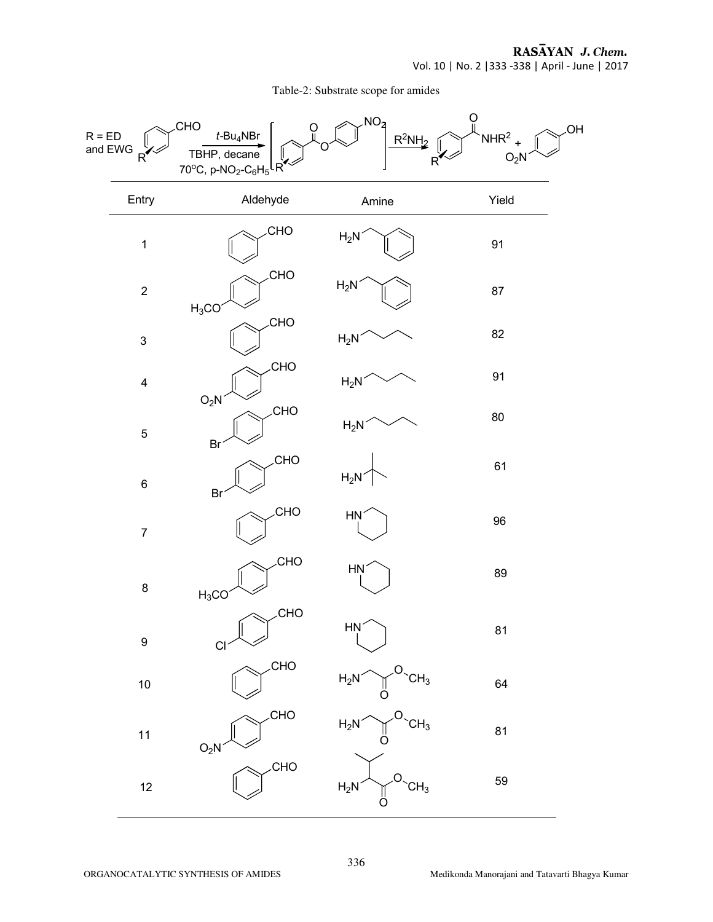RASĀYAN J. Chem. Vol. 10 | No. 2 |333 -338 | April - June | 2017

Table-2: Substrate scope for amides

| $R = ED$<br>and EWG<br>$R^{\bullet}$ | <b>CHO</b><br>$t$ -Bu <sub>4</sub> NBr<br>TBHP, decane<br>70°C, p-NO <sub>2</sub> -C <sub>6</sub> H <sub>5</sub> LR <sup>V</sup> | NO <sub>2</sub><br>$R^2NH_2$        | ပူ<br>.OH<br>NHR <sup>2</sup><br>O <sub>2</sub> N<br>R <sup>'</sup> |
|--------------------------------------|----------------------------------------------------------------------------------------------------------------------------------|-------------------------------------|---------------------------------------------------------------------|
| Entry                                | Aldehyde                                                                                                                         | Amine                               | Yield                                                               |
| $\mathbf 1$                          | CHO                                                                                                                              | $H_2N$                              | 91                                                                  |
| $\mathbf 2$                          | CHO<br>$H_3CO$                                                                                                                   | $H_2N$                              | 87                                                                  |
| $\mathsf 3$                          | CHO                                                                                                                              | $H_2N$                              | 82                                                                  |
| $\overline{\mathbf{4}}$              | <b>CHO</b><br>O <sub>2</sub> N                                                                                                   | $H_2N$                              | 91                                                                  |
| $\sqrt{5}$                           | CHO<br>Br                                                                                                                        | $H_2N$                              | $80\,$                                                              |
| $\,6$                                | <b>CHO</b><br>Br                                                                                                                 | $H_2N$                              | 61                                                                  |
| $\boldsymbol{7}$                     | CHO                                                                                                                              | HŅ                                  | 96                                                                  |
| 8                                    | CHO<br>$H_3CO$                                                                                                                   | <b>HN</b>                           | 89                                                                  |
| 9                                    | <b>CHO</b><br>$Cl \sim$                                                                                                          | <b>HN</b>                           | 81                                                                  |
| $10\,$                               | CHO                                                                                                                              | $H_2N \sim$<br>$CH_3$               | 64                                                                  |
| 11                                   | <b>CHO</b><br>$O_2N^2$                                                                                                           | $H_2N^{\diagup}$<br>CH <sub>3</sub> | 81                                                                  |
| $12$                                 | <b>CHO</b>                                                                                                                       | $H_2N$<br>CH <sub>3</sub>           | 59                                                                  |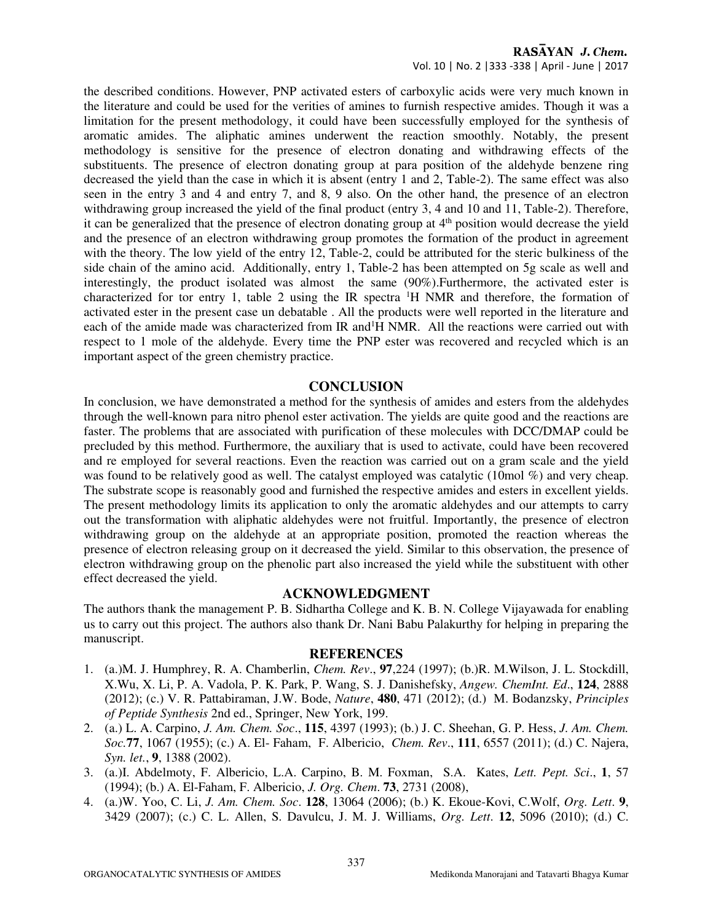#### RASAYAN J. Chem. Vol. 10 | No. 2 |333 -338 | April - June | 2017

the described conditions. However, PNP activated esters of carboxylic acids were very much known in the literature and could be used for the verities of amines to furnish respective amides. Though it was a limitation for the present methodology, it could have been successfully employed for the synthesis of aromatic amides. The aliphatic amines underwent the reaction smoothly. Notably, the present methodology is sensitive for the presence of electron donating and withdrawing effects of the substituents. The presence of electron donating group at para position of the aldehyde benzene ring decreased the yield than the case in which it is absent (entry 1 and 2, Table-2). The same effect was also seen in the entry 3 and 4 and entry 7, and 8, 9 also. On the other hand, the presence of an electron withdrawing group increased the yield of the final product (entry 3, 4 and 10 and 11, Table-2). Therefore, it can be generalized that the presence of electron donating group at  $4<sup>th</sup>$  position would decrease the yield and the presence of an electron withdrawing group promotes the formation of the product in agreement with the theory. The low yield of the entry 12, Table-2, could be attributed for the steric bulkiness of the side chain of the amino acid. Additionally, entry 1, Table-2 has been attempted on 5g scale as well and interestingly, the product isolated was almost the same (90%).Furthermore, the activated ester is characterized for tor entry 1, table 2 using the IR spectra  ${}^{1}H$  NMR and therefore, the formation of activated ester in the present case un debatable . All the products were well reported in the literature and each of the amide made was characterized from IR and<sup>1</sup>H NMR. All the reactions were carried out with respect to 1 mole of the aldehyde. Every time the PNP ester was recovered and recycled which is an important aspect of the green chemistry practice.

## **CONCLUSION**

In conclusion, we have demonstrated a method for the synthesis of amides and esters from the aldehydes through the well-known para nitro phenol ester activation. The yields are quite good and the reactions are faster. The problems that are associated with purification of these molecules with DCC/DMAP could be precluded by this method. Furthermore, the auxiliary that is used to activate, could have been recovered and re employed for several reactions. Even the reaction was carried out on a gram scale and the yield was found to be relatively good as well. The catalyst employed was catalytic (10mol %) and very cheap. The substrate scope is reasonably good and furnished the respective amides and esters in excellent yields. The present methodology limits its application to only the aromatic aldehydes and our attempts to carry out the transformation with aliphatic aldehydes were not fruitful. Importantly, the presence of electron withdrawing group on the aldehyde at an appropriate position, promoted the reaction whereas the presence of electron releasing group on it decreased the yield. Similar to this observation, the presence of electron withdrawing group on the phenolic part also increased the yield while the substituent with other effect decreased the yield.

#### **ACKNOWLEDGMENT**

The authors thank the management P. B. Sidhartha College and K. B. N. College Vijayawada for enabling us to carry out this project. The authors also thank Dr. Nani Babu Palakurthy for helping in preparing the manuscript.

#### **REFERENCES**

- 1. (a.)M. J. Humphrey, R. A. Chamberlin, *Chem. Rev*., **97**,224 (1997); (b.)R. M.Wilson, J. L. Stockdill, X.Wu, X. Li, P. A. Vadola, P. K. Park, P. Wang, S. J. Danishefsky, *Angew. ChemInt. Ed*., **124**, 2888 (2012); (c.) V. R. Pattabiraman, J.W. Bode, *Nature*, **480**, 471 (2012); (d.) M. Bodanzsky, *Principles of Peptide Synthesis* 2nd ed., Springer, New York, 199.
- 2. (a.) L. A. Carpino, *J. Am. Chem. Soc*., **115**, 4397 (1993); (b.) J. C. Sheehan, G. P. Hess, *J. Am. Chem. Soc.***77**, 1067 (1955); (c.) A. El- Faham, F. Albericio, *Chem. Rev*., **111**, 6557 (2011); (d.) C. Najera, *Syn. let.*, **9**, 1388 (2002).
- 3. (a.)I. Abdelmoty, F. Albericio, L.A. Carpino, B. M. Foxman, S.A. Kates, *Lett. Pept. Sci*., **1**, 57 (1994); (b.) A. El-Faham, F. Albericio, *J. Org. Chem*. **73**, 2731 (2008),
- 4. (a.)W. Yoo, C. Li, *J. Am. Chem. Soc*. **128**, 13064 (2006); (b.) K. Ekoue-Kovi, C.Wolf, *Org. Lett*. **9**, 3429 (2007); (c.) C. L. Allen, S. Davulcu, J. M. J. Williams, *Org. Lett*. **12**, 5096 (2010); (d.) C.